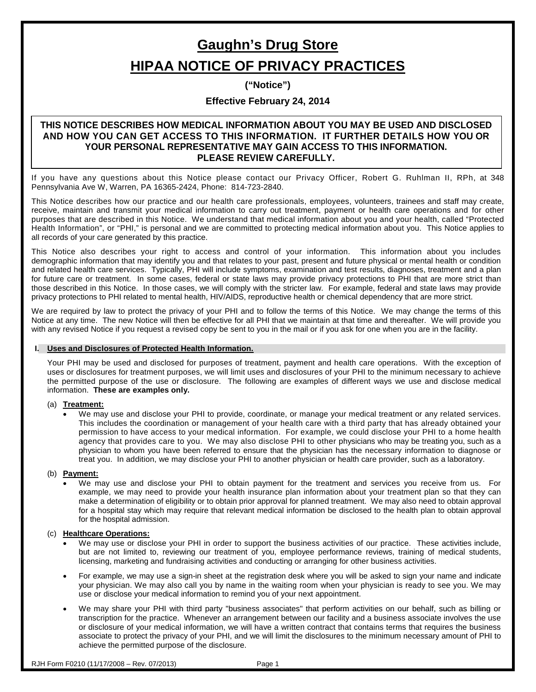# **Gaughn's Drug Store HIPAA NOTICE OF PRIVACY PRACTICES**

**("Notice")**

# **Effective February 24, 2014**

## **THIS NOTICE DESCRIBES HOW MEDICAL INFORMATION ABOUT YOU MAY BE USED AND DISCLOSED AND HOW YOU CAN GET ACCESS TO THIS INFORMATION. IT FURTHER DETAILS HOW YOU OR YOUR PERSONAL REPRESENTATIVE MAY GAIN ACCESS TO THIS INFORMATION. PLEASE REVIEW CAREFULLY.**

If you have any questions about this Notice please contact our Privacy Officer, Robert G. Ruhlman II, RPh, at 348 Pennsylvania Ave W, Warren, PA 16365-2424, Phone: 814-723-2840.

This Notice describes how our practice and our health care professionals, employees, volunteers, trainees and staff may create, receive, maintain and transmit your medical information to carry out treatment, payment or health care operations and for other purposes that are described in this Notice. We understand that medical information about you and your health, called "Protected Health Information", or "PHI," is personal and we are committed to protecting medical information about you. This Notice applies to all records of your care generated by this practice.

This Notice also describes your right to access and control of your information. This information about you includes demographic information that may identify you and that relates to your past, present and future physical or mental health or condition and related health care services. Typically, PHI will include symptoms, examination and test results, diagnoses, treatment and a plan for future care or treatment. In some cases, federal or state laws may provide privacy protections to PHI that are more strict than those described in this Notice. In those cases, we will comply with the stricter law. For example, federal and state laws may provide privacy protections to PHI related to mental health, HIV/AIDS, reproductive health or chemical dependency that are more strict.

We are required by law to protect the privacy of your PHI and to follow the terms of this Notice. We may change the terms of this Notice at any time. The new Notice will then be effective for all PHI that we maintain at that time and thereafter. We will provide you with any revised Notice if you request a revised copy be sent to you in the mail or if you ask for one when you are in the facility.

## **I. Uses and Disclosures of Protected Health Information.**

Your PHI may be used and disclosed for purposes of treatment, payment and health care operations. With the exception of uses or disclosures for treatment purposes, we will limit uses and disclosures of your PHI to the minimum necessary to achieve the permitted purpose of the use or disclosure. The following are examples of different ways we use and disclose medical information. **These are examples only.**

## (a) **Treatment:**

• We may use and disclose your PHI to provide, coordinate, or manage your medical treatment or any related services. This includes the coordination or management of your health care with a third party that has already obtained your permission to have access to your medical information. For example, we could disclose your PHI to a home health agency that provides care to you. We may also disclose PHI to other physicians who may be treating you, such as a physician to whom you have been referred to ensure that the physician has the necessary information to diagnose or treat you. In addition, we may disclose your PHI to another physician or health care provider, such as a laboratory.

## (b) **Payment:**

• We may use and disclose your PHI to obtain payment for the treatment and services you receive from us. For example, we may need to provide your health insurance plan information about your treatment plan so that they can make a determination of eligibility or to obtain prior approval for planned treatment. We may also need to obtain approval for a hospital stay which may require that relevant medical information be disclosed to the health plan to obtain approval for the hospital admission.

## (c) **Healthcare Operations:**

- We may use or disclose your PHI in order to support the business activities of our practice. These activities include, but are not limited to, reviewing our treatment of you, employee performance reviews, training of medical students, licensing, marketing and fundraising activities and conducting or arranging for other business activities.
- For example, we may use a sign-in sheet at the registration desk where you will be asked to sign your name and indicate your physician. We may also call you by name in the waiting room when your physician is ready to see you. We may use or disclose your medical information to remind you of your next appointment.
- We may share your PHI with third party "business associates" that perform activities on our behalf, such as billing or transcription for the practice. Whenever an arrangement between our facility and a business associate involves the use or disclosure of your medical information, we will have a written contract that contains terms that requires the business associate to protect the privacy of your PHI, and we will limit the disclosures to the minimum necessary amount of PHI to achieve the permitted purpose of the disclosure.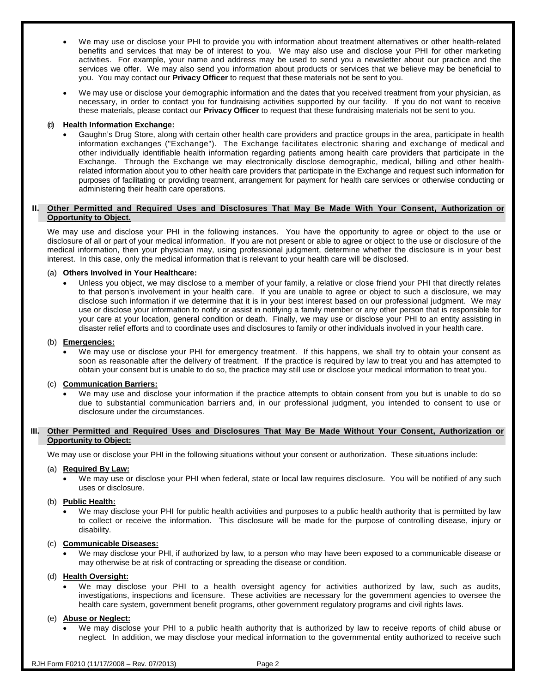- We may use or disclose your PHI to provide you with information about treatment alternatives or other health-related benefits and services that may be of interest to you. We may also use and disclose your PHI for other marketing activities. For example, your name and address may be used to send you a newsletter about our practice and the services we offer. We may also send you information about products or services that we believe may be beneficial to you. You may contact our **Privacy Officer** to request that these materials not be sent to you.
- We may use or disclose your demographic information and the dates that you received treatment from your physician, as necessary, in order to contact you for fundraising activities supported by our facility. If you do not want to receive these materials, please contact our **Privacy Officer** to request that these fundraising materials not be sent to you.

## (d) **Health Information Exchange:**

• Gaughn's Drug Store, along with certain other health care providers and practice groups in the area, participate in health information exchanges ("Exchange"). The Exchange facilitates electronic sharing and exchange of medical and other individually identifiable health information regarding patients among health care providers that participate in the Exchange. Through the Exchange we may electronically disclose demographic, medical, billing and other healthrelated information about you to other health care providers that participate in the Exchange and request such information for purposes of facilitating or providing treatment, arrangement for payment for health care services or otherwise conducting or administering their health care operations.

## **II. Other Permitted and Required Uses and Disclosures That May Be Made With Your Consent, Authorization or Opportunity to Object.**

We may use and disclose your PHI in the following instances. You have the opportunity to agree or object to the use or disclosure of all or part of your medical information. If you are not present or able to agree or object to the use or disclosure of the medical information, then your physician may, using professional judgment, determine whether the disclosure is in your best interest. In this case, only the medical information that is relevant to your health care will be disclosed.

## (a) **Others Involved in Your Healthcare:**

• Unless you object, we may disclose to a member of your family, a relative or close friend your PHI that directly relates to that person's involvement in your health care. If you are unable to agree or object to such a disclosure, we may disclose such information if we determine that it is in your best interest based on our professional judgment. We may use or disclose your information to notify or assist in notifying a family member or any other person that is responsible for your care at your location, general condition or death. Finally, we may use or disclose your PHI to an entity assisting in disaster relief efforts and to coordinate uses and disclosures to family or other individuals involved in your health care.

#### (b) **Emergencies:**

We may use or disclose your PHI for emergency treatment. If this happens, we shall try to obtain your consent as soon as reasonable after the delivery of treatment. If the practice is required by law to treat you and has attempted to obtain your consent but is unable to do so, the practice may still use or disclose your medical information to treat you.

## (c) **Communication Barriers:**

• We may use and disclose your information if the practice attempts to obtain consent from you but is unable to do so due to substantial communication barriers and, in our professional judgment, you intended to consent to use or disclosure under the circumstances.

## **III. Other Permitted and Required Uses and Disclosures That May Be Made Without Your Consent, Authorization or Opportunity to Object:**

We may use or disclose your PHI in the following situations without your consent or authorization. These situations include:

## (a) **Required By Law:**

• We may use or disclose your PHI when federal, state or local law requires disclosure. You will be notified of any such uses or disclosure.

## (b) **Public Health:**

• We may disclose your PHI for public health activities and purposes to a public health authority that is permitted by law to collect or receive the information. This disclosure will be made for the purpose of controlling disease, injury or disability.

## (c) **Communicable Diseases:**

• We may disclose your PHI, if authorized by law, to a person who may have been exposed to a communicable disease or may otherwise be at risk of contracting or spreading the disease or condition.

## (d) **Health Oversight:**

We may disclose your PHI to a health oversight agency for activities authorized by law, such as audits, investigations, inspections and licensure. These activities are necessary for the government agencies to oversee the health care system, government benefit programs, other government regulatory programs and civil rights laws.

## (e) **Abuse or Neglect:**

• We may disclose your PHI to a public health authority that is authorized by law to receive reports of child abuse or neglect. In addition, we may disclose your medical information to the governmental entity authorized to receive such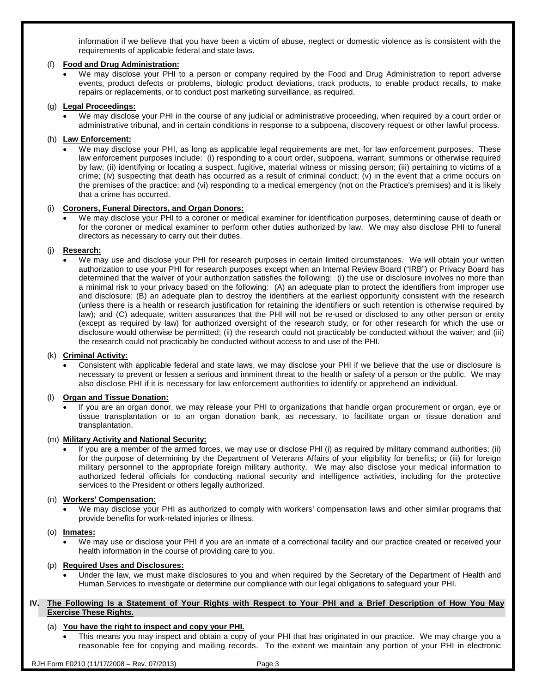information if we believe that you have been a victim of abuse, neglect or domestic violence as is consistent with the requirements of applicable federal and state laws.

## (f) **Food and Drug Administration:**

We may disclose your PHI to a person or company required by the Food and Drug Administration to report adverse events, product defects or problems, biologic product deviations, track products, to enable product recalls, to make repairs or replacements, or to conduct post marketing surveillance, as required.

## (g) **Legal Proceedings:**

• We may disclose your PHI in the course of any judicial or administrative proceeding, when required by a court order or administrative tribunal, and in certain conditions in response to a subpoena, discovery request or other lawful process.

## (h) **Law Enforcement:**

• We may disclose your PHI, as long as applicable legal requirements are met, for law enforcement purposes. These law enforcement purposes include: (i) responding to a court order, subpoena, warrant, summons or otherwise required by law; (ii) identifying or locating a suspect, fugitive, material witness or missing person; (iii) pertaining to victims of a crime; (iv) suspecting that death has occurred as a result of criminal conduct; (v) in the event that a crime occurs on the premises of the practice; and (vi) responding to a medical emergency (not on the Practice's premises) and it is likely that a crime has occurred.

## (i) **Coroners, Funeral Directors, and Organ Donors:**

• We may disclose your PHI to a coroner or medical examiner for identification purposes, determining cause of death or for the coroner or medical examiner to perform other duties authorized by law. We may also disclose PHI to funeral directors as necessary to carry out their duties.

## (j) **Research:**

• We may use and disclose your PHI for research purposes in certain limited circumstances. We will obtain your written authorization to use your PHI for research purposes except when an Internal Review Board ("IRB") or Privacy Board has determined that the waiver of your authorization satisfies the following: (i) the use or disclosure involves no more than a minimal risk to your privacy based on the following: (A) an adequate plan to protect the identifiers from improper use and disclosure; (B) an adequate plan to destroy the identifiers at the earliest opportunity consistent with the research (unless there is a health or research justification for retaining the identifiers or such retention is otherwise required by law); and (C) adequate, written assurances that the PHI will not be re-used or disclosed to any other person or entity (except as required by law) for authorized oversight of the research study, or for other research for which the use or disclosure would otherwise be permitted; (ii) the research could not practicably be conducted without the waiver; and (iii) the research could not practicably be conducted without access to and use of the PHI.

## (k) **Criminal Activity:**

• Consistent with applicable federal and state laws, we may disclose your PHI if we believe that the use or disclosure is necessary to prevent or lessen a serious and imminent threat to the health or safety of a person or the public. We may also disclose PHI if it is necessary for law enforcement authorities to identify or apprehend an individual.

## (l) **Organ and Tissue Donation:**

• If you are an organ donor, we may release your PHI to organizations that handle organ procurement or organ, eye or tissue transplantation or to an organ donation bank, as necessary, to facilitate organ or tissue donation and transplantation.

## (m) **Military Activity and National Security:**

• If you are a member of the armed forces, we may use or disclose PHI (i) as required by military command authorities; (ii) for the purpose of determining by the Department of Veterans Affairs of your eligibility for benefits; or (iii) for foreign military personnel to the appropriate foreign military authority. We may also disclose your medical information to authorized federal officials for conducting national security and intelligence activities, including for the protective services to the President or others legally authorized.

## (n) **Workers' Compensation:**

• We may disclose your PHI as authorized to comply with workers' compensation laws and other similar programs that provide benefits for work-related injuries or illness.

## (o) **Inmates:**

• We may use or disclose your PHI if you are an inmate of a correctional facility and our practice created or received your health information in the course of providing care to you.

## (p) **Required Uses and Disclosures:**

• Under the law, we must make disclosures to you and when required by the Secretary of the Department of Health and Human Services to investigate or determine our compliance with our legal obligations to safeguard your PHI.

## **IV. The Following Is a Statement of Your Rights with Respect to Your PHI and a Brief Description of How You May Exercise These Rights.**

## (a) **You have the right to inspect and copy your PHI.**

• This means you may inspect and obtain a copy of your PHI that has originated in our practice. We may charge you a reasonable fee for copying and mailing records. To the extent we maintain any portion of your PHI in electronic